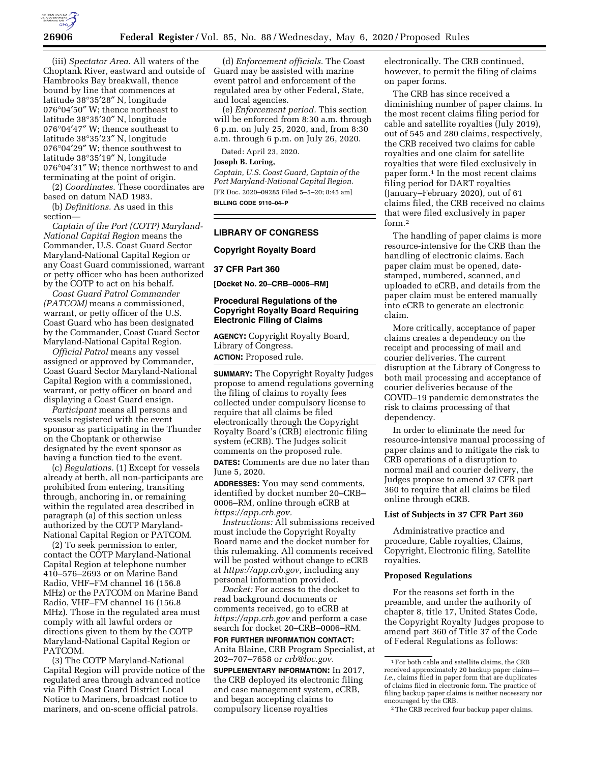

(iii) *Spectator Area.* All waters of the Choptank River, eastward and outside of Hambrooks Bay breakwall, thence bound by line that commences at latitude 38°35′28″ N, longitude 076°04′50″ W; thence northeast to latitude 38°35′30″ N, longitude 076°04′47″ W; thence southeast to latitude 38°35′23″ N, longitude 076°04′29″ W; thence southwest to latitude 38°35′19″ N, longitude 076°04′31″ W; thence northwest to and terminating at the point of origin.

(2) *Coordinates.* These coordinates are based on datum NAD 1983.

(b) *Definitions.* As used in this section—

*Captain of the Port (COTP) Maryland-National Capital Region* means the Commander, U.S. Coast Guard Sector Maryland-National Capital Region or any Coast Guard commissioned, warrant or petty officer who has been authorized by the COTP to act on his behalf.

*Coast Guard Patrol Commander (PATCOM)* means a commissioned, warrant, or petty officer of the U.S. Coast Guard who has been designated by the Commander, Coast Guard Sector Maryland-National Capital Region.

*Official Patrol* means any vessel assigned or approved by Commander, Coast Guard Sector Maryland-National Capital Region with a commissioned, warrant, or petty officer on board and displaying a Coast Guard ensign.

*Participant* means all persons and vessels registered with the event sponsor as participating in the Thunder on the Choptank or otherwise designated by the event sponsor as having a function tied to the event.

(c) *Regulations.* (1) Except for vessels already at berth, all non-participants are prohibited from entering, transiting through, anchoring in, or remaining within the regulated area described in paragraph (a) of this section unless authorized by the COTP Maryland-National Capital Region or PATCOM.

(2) To seek permission to enter, contact the COTP Maryland-National Capital Region at telephone number 410–576–2693 or on Marine Band Radio, VHF–FM channel 16 (156.8 MHz) or the PATCOM on Marine Band Radio, VHF–FM channel 16 (156.8 MHz). Those in the regulated area must comply with all lawful orders or directions given to them by the COTP Maryland-National Capital Region or PATCOM.

(3) The COTP Maryland-National Capital Region will provide notice of the regulated area through advanced notice via Fifth Coast Guard District Local Notice to Mariners, broadcast notice to mariners, and on-scene official patrols.

(d) *Enforcement officials.* The Coast Guard may be assisted with marine event patrol and enforcement of the regulated area by other Federal, State, and local agencies.

(e) *Enforcement period.* This section will be enforced from 8:30 a.m. through 6 p.m. on July 25, 2020, and, from 8:30 a.m. through 6 p.m. on July 26, 2020.

Dated: April 23, 2020.

#### **Joseph B. Loring,**

*Captain, U.S. Coast Guard, Captain of the Port Maryland-National Capital Region.*  [FR Doc. 2020–09285 Filed 5–5–20; 8:45 am] **BILLING CODE 9110–04–P** 

### **LIBRARY OF CONGRESS**

#### **Copyright Royalty Board**

### **37 CFR Part 360**

**[Docket No. 20–CRB–0006–RM]** 

# **Procedural Regulations of the Copyright Royalty Board Requiring Electronic Filing of Claims**

**AGENCY:** Copyright Royalty Board, Library of Congress.

**ACTION:** Proposed rule.

**SUMMARY:** The Copyright Royalty Judges propose to amend regulations governing the filing of claims to royalty fees collected under compulsory license to require that all claims be filed electronically through the Copyright Royalty Board's (CRB) electronic filing system (eCRB). The Judges solicit comments on the proposed rule. **DATES:** Comments are due no later than June 5, 2020.

**ADDRESSES:** You may send comments, identified by docket number 20–CRB– 0006–RM, online through eCRB at *[https://app.crb.gov.](https://app.crb.gov)* 

*Instructions:* All submissions received must include the Copyright Royalty Board name and the docket number for this rulemaking. All comments received will be posted without change to eCRB at *[https://app.crb.gov,](https://app.crb.gov)* including any personal information provided.

*Docket:* For access to the docket to read background documents or comments received, go to eCRB at *<https://app.crb.gov>*and perform a case search for docket 20–CRB–0006–RM.

**FOR FURTHER INFORMATION CONTACT:**  Anita Blaine, CRB Program Specialist, at 202–707–7658 or *[crb@loc.gov.](mailto:crb@loc.gov)* 

**SUPPLEMENTARY INFORMATION:** In 2017, the CRB deployed its electronic filing and case management system, eCRB, and began accepting claims to compulsory license royalties

electronically. The CRB continued, however, to permit the filing of claims on paper forms.

The CRB has since received a diminishing number of paper claims. In the most recent claims filing period for cable and satellite royalties (July 2019), out of 545 and 280 claims, respectively, the CRB received two claims for cable royalties and one claim for satellite royalties that were filed exclusively in paper form.1 In the most recent claims filing period for DART royalties (January–February 2020), out of 61 claims filed, the CRB received no claims that were filed exclusively in paper form.2

The handling of paper claims is more resource-intensive for the CRB than the handling of electronic claims. Each paper claim must be opened, datestamped, numbered, scanned, and uploaded to eCRB, and details from the paper claim must be entered manually into eCRB to generate an electronic claim.

More critically, acceptance of paper claims creates a dependency on the receipt and processing of mail and courier deliveries. The current disruption at the Library of Congress to both mail processing and acceptance of courier deliveries because of the COVID–19 pandemic demonstrates the risk to claims processing of that dependency.

In order to eliminate the need for resource-intensive manual processing of paper claims and to mitigate the risk to CRB operations of a disruption to normal mail and courier delivery, the Judges propose to amend 37 CFR part 360 to require that all claims be filed online through eCRB.

# **List of Subjects in 37 CFR Part 360**

Administrative practice and procedure, Cable royalties, Claims, Copyright, Electronic filing, Satellite royalties.

#### **Proposed Regulations**

For the reasons set forth in the preamble, and under the authority of chapter 8, title 17, United States Code, the Copyright Royalty Judges propose to amend part 360 of Title 37 of the Code of Federal Regulations as follows:

<sup>1</sup>For both cable and satellite claims, the CRB received approximately 20 backup paper claims *i.e.,* claims filed in paper form that are duplicates of claims filed in electronic form. The practice of filing backup paper claims is neither necessary nor encouraged by the CRB.

<sup>2</sup>The CRB received four backup paper claims.